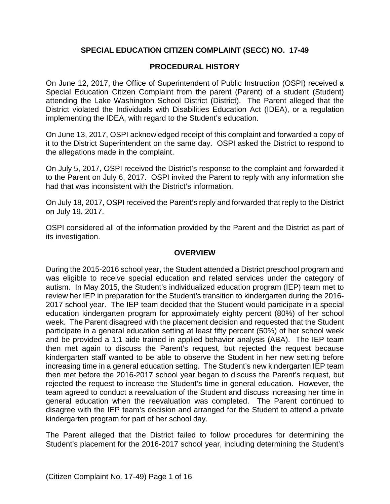# **SPECIAL EDUCATION CITIZEN COMPLAINT (SECC) NO. 17-49**

# **PROCEDURAL HISTORY**

On June 12, 2017, the Office of Superintendent of Public Instruction (OSPI) received a Special Education Citizen Complaint from the parent (Parent) of a student (Student) attending the Lake Washington School District (District). The Parent alleged that the District violated the Individuals with Disabilities Education Act (IDEA), or a regulation implementing the IDEA, with regard to the Student's education.

On June 13, 2017, OSPI acknowledged receipt of this complaint and forwarded a copy of it to the District Superintendent on the same day. OSPI asked the District to respond to the allegations made in the complaint.

On July 5, 2017, OSPI received the District's response to the complaint and forwarded it to the Parent on July 6, 2017. OSPI invited the Parent to reply with any information she had that was inconsistent with the District's information.

On July 18, 2017, OSPI received the Parent's reply and forwarded that reply to the District on July 19, 2017.

OSPI considered all of the information provided by the Parent and the District as part of its investigation.

# **OVERVIEW**

During the 2015-2016 school year, the Student attended a District preschool program and was eligible to receive special education and related services under the category of autism. In May 2015, the Student's individualized education program (IEP) team met to review her IEP in preparation for the Student's transition to kindergarten during the 2016- 2017 school year. The IEP team decided that the Student would participate in a special education kindergarten program for approximately eighty percent (80%) of her school week. The Parent disagreed with the placement decision and requested that the Student participate in a general education setting at least fifty percent (50%) of her school week and be provided a 1:1 aide trained in applied behavior analysis (ABA). The IEP team then met again to discuss the Parent's request, but rejected the request because kindergarten staff wanted to be able to observe the Student in her new setting before increasing time in a general education setting. The Student's new kindergarten IEP team then met before the 2016-2017 school year began to discuss the Parent's request, but rejected the request to increase the Student's time in general education. However, the team agreed to conduct a reevaluation of the Student and discuss increasing her time in general education when the reevaluation was completed. The Parent continued to disagree with the IEP team's decision and arranged for the Student to attend a private kindergarten program for part of her school day.

The Parent alleged that the District failed to follow procedures for determining the Student's placement for the 2016-2017 school year, including determining the Student's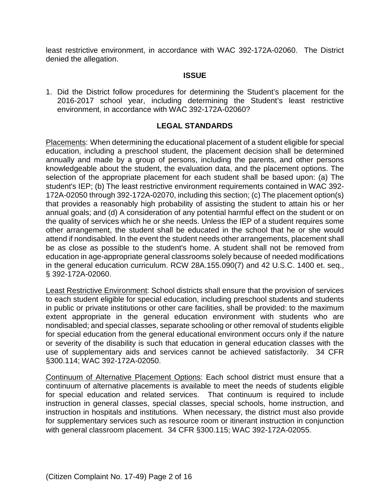least restrictive environment, in accordance with WAC 392-172A-02060. The District denied the allegation.

#### **ISSUE**

1. Did the District follow procedures for determining the Student's placement for the 2016-2017 school year, including determining the Student's least restrictive environment, in accordance with WAC 392-172A-02060?

# **LEGAL STANDARDS**

Placements: When determining the educational placement of a student eligible for special education, including a preschool student, the placement decision shall be determined annually and made by a group of persons, including the parents, and other persons knowledgeable about the student, the evaluation data, and the placement options. The selection of the appropriate placement for each student shall be based upon: (a) The student's IEP; (b) The least restrictive environment requirements contained in WAC 392- 172A-02050 through 392-172A-02070, including this section; (c) The placement option(s) that provides a reasonably high probability of assisting the student to attain his or her annual goals; and (d) A consideration of any potential harmful effect on the student or on the quality of services which he or she needs. Unless the IEP of a student requires some other arrangement, the student shall be educated in the school that he or she would attend if nondisabled. In the event the student needs other arrangements, placement shall be as close as possible to the student's home. A student shall not be removed from education in age-appropriate general classrooms solely because of needed modifications in the general education curriculum. RCW 28A.155.090(7) and 42 U.S.C. 1400 et. seq., § 392-172A-02060.

Least Restrictive Environment: School districts shall ensure that the provision of services to each student eligible for special education, including preschool students and students in public or private institutions or other care facilities, shall be provided: to the maximum extent appropriate in the general education environment with students who are nondisabled; and special classes, separate schooling or other removal of students eligible for special education from the general educational environment occurs only if the nature or severity of the disability is such that education in general education classes with the use of supplementary aids and services cannot be achieved satisfactorily. 34 CFR §300.114; WAC 392-172A-02050.

Continuum of Alternative Placement Options: Each school district must ensure that a continuum of alternative placements is available to meet the needs of students eligible for special education and related services. That continuum is required to include instruction in general classes, special classes, special schools, home instruction, and instruction in hospitals and institutions. When necessary, the district must also provide for supplementary services such as resource room or itinerant instruction in conjunction with general classroom placement. 34 CFR §300.115; WAC 392-172A-02055.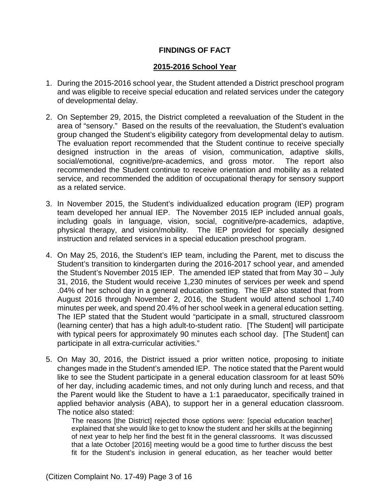# **FINDINGS OF FACT**

# **2015-2016 School Year**

- 1. During the 2015-2016 school year, the Student attended a District preschool program and was eligible to receive special education and related services under the category of developmental delay.
- 2. On September 29, 2015, the District completed a reevaluation of the Student in the area of "sensory." Based on the results of the reevaluation, the Student's evaluation group changed the Student's eligibility category from developmental delay to autism. The evaluation report recommended that the Student continue to receive specially designed instruction in the areas of vision, communication, adaptive skills, social/emotional, cognitive/pre-academics, and gross motor. The report also recommended the Student continue to receive orientation and mobility as a related service, and recommended the addition of occupational therapy for sensory support as a related service.
- 3. In November 2015, the Student's individualized education program (IEP) program team developed her annual IEP. The November 2015 IEP included annual goals, including goals in language, vision, social, cognitive/pre-academics, adaptive, physical therapy, and vision/mobility. The IEP provided for specially designed instruction and related services in a special education preschool program.
- 4. On May 25, 2016, the Student's IEP team, including the Parent, met to discuss the Student's transition to kindergarten during the 2016-2017 school year, and amended the Student's November 2015 IEP. The amended IEP stated that from May 30 – July 31, 2016, the Student would receive 1,230 minutes of services per week and spend .04% of her school day in a general education setting. The IEP also stated that from August 2016 through November 2, 2016, the Student would attend school 1,740 minutes per week, and spend 20.4% of her school week in a general education setting. The IEP stated that the Student would "participate in a small, structured classroom (learning center) that has a high adult-to-student ratio. [The Student] will participate with typical peers for approximately 90 minutes each school day. [The Student] can participate in all extra-curricular activities."
- 5. On May 30, 2016, the District issued a prior written notice, proposing to initiate changes made in the Student's amended IEP. The notice stated that the Parent would like to see the Student participate in a general education classroom for at least 50% of her day, including academic times, and not only during lunch and recess, and that the Parent would like the Student to have a 1:1 paraeducator, specifically trained in applied behavior analysis (ABA), to support her in a general education classroom. The notice also stated:

The reasons [the District] rejected those options were: [special education teacher] explained that she would like to get to know the student and her skills at the beginning of next year to help her find the best fit in the general classrooms. It was discussed that a late October [2016] meeting would be a good time to further discuss the best fit for the Student's inclusion in general education, as her teacher would better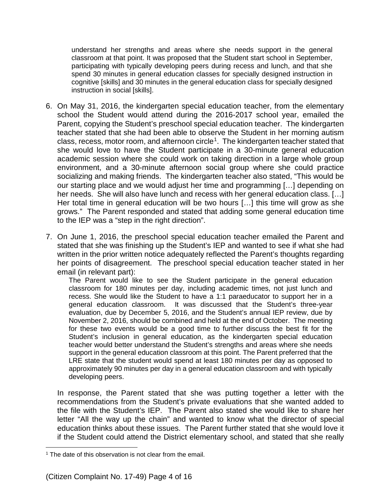understand her strengths and areas where she needs support in the general classroom at that point. It was proposed that the Student start school in September, participating with typically developing peers during recess and lunch, and that she spend 30 minutes in general education classes for specially designed instruction in cognitive [skills] and 30 minutes in the general education class for specially designed instruction in social [skills].

- 6. On May 31, 2016, the kindergarten special education teacher, from the elementary school the Student would attend during the 2016-2017 school year, emailed the Parent, copying the Student's preschool special education teacher. The kindergarten teacher stated that she had been able to observe the Student in her morning autism class, recess, motor room, and afternoon circle<sup>1</sup>. The kindergarten teacher stated that she would love to have the Student participate in a 30-minute general education academic session where she could work on taking direction in a large whole group environment, and a 30-minute afternoon social group where she could practice socializing and making friends. The kindergarten teacher also stated, "This would be our starting place and we would adjust her time and programming […] depending on her needs. She will also have lunch and recess with her general education class. […] Her total time in general education will be two hours […] this time will grow as she grows." The Parent responded and stated that adding some general education time to the IEP was a "step in the right direction".
- 7. On June 1, 2016, the preschool special education teacher emailed the Parent and stated that she was finishing up the Student's IEP and wanted to see if what she had written in the prior written notice adequately reflected the Parent's thoughts regarding her points of disagreement. The preschool special education teacher stated in her email (in relevant part):

The Parent would like to see the Student participate in the general education classroom for 180 minutes per day, including academic times, not just lunch and recess. She would like the Student to have a 1:1 paraeducator to support her in a general education classroom. It was discussed that the Student's three-year evaluation, due by December 5, 2016, and the Student's annual IEP review, due by November 2, 2016, should be combined and held at the end of October. The meeting for these two events would be a good time to further discuss the best fit for the Student's inclusion in general education, as the kindergarten special education teacher would better understand the Student's strengths and areas where she needs support in the general education classroom at this point. The Parent preferred that the LRE state that the student would spend at least 180 minutes per day as opposed to approximately 90 minutes per day in a general education classroom and with typically developing peers.

In response, the Parent stated that she was putting together a letter with the recommendations from the Student's private evaluations that she wanted added to the file with the Student's IEP. The Parent also stated she would like to share her letter "All the way up the chain" and wanted to know what the director of special education thinks about these issues. The Parent further stated that she would love it if the Student could attend the District elementary school, and stated that she really

l

<sup>&</sup>lt;sup>1</sup> The date of this observation is not clear from the email.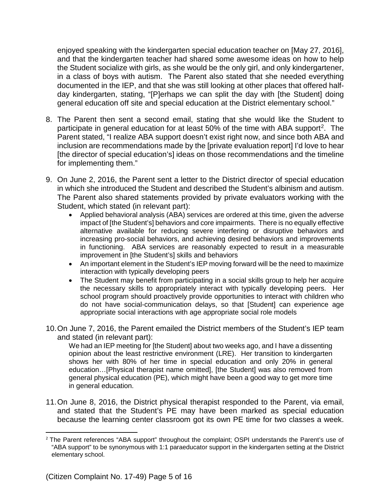enjoyed speaking with the kindergarten special education teacher on [May 27, 2016], and that the kindergarten teacher had shared some awesome ideas on how to help the Student socialize with girls, as she would be the only girl, and only kindergartener, in a class of boys with autism. The Parent also stated that she needed everything documented in the IEP, and that she was still looking at other places that offered halfday kindergarten, stating, "[P]erhaps we can split the day with [the Student] doing general education off site and special education at the District elementary school."

- 8. The Parent then sent a second email, stating that she would like the Student to participate in general education for at least 50% of the time with ABA support<sup>2</sup>. The Parent stated, "I realize ABA support doesn't exist right now, and since both ABA and inclusion are recommendations made by the [private evaluation report] I'd love to hear [the director of special education's] ideas on those recommendations and the timeline for implementing them."
- 9. On June 2, 2016, the Parent sent a letter to the District director of special education in which she introduced the Student and described the Student's albinism and autism. The Parent also shared statements provided by private evaluators working with the Student, which stated (in relevant part):
	- Applied behavioral analysis (ABA) services are ordered at this time, given the adverse impact of [the Student's] behaviors and core impairments. There is no equally effective alternative available for reducing severe interfering or disruptive behaviors and increasing pro-social behaviors, and achieving desired behaviors and improvements in functioning. ABA services are reasonably expected to result in a measurable improvement in [the Student's] skills and behaviors
	- An important element in the Student's IEP moving forward will be the need to maximize interaction with typically developing peers
	- The Student may benefit from participating in a social skills group to help her acquire the necessary skills to appropriately interact with typically developing peers. Her school program should proactively provide opportunities to interact with children who do not have social-communication delays, so that [Student] can experience age appropriate social interactions with age appropriate social role models
- 10.On June 7, 2016, the Parent emailed the District members of the Student's IEP team and stated (in relevant part):

We had an IEP meeting for [the Student] about two weeks ago, and I have a dissenting opinion about the least restrictive environment (LRE). Her transition to kindergarten shows her with 80% of her time in special education and only 20% in general education…[Physical therapist name omitted], [the Student] was also removed from general physical education (PE), which might have been a good way to get more time in general education.

11.On June 8, 2016, the District physical therapist responded to the Parent, via email, and stated that the Student's PE may have been marked as special education because the learning center classroom got its own PE time for two classes a week.

l

<sup>&</sup>lt;sup>2</sup> The Parent references "ABA support" throughout the complaint; OSPI understands the Parent's use of "ABA support" to be synonymous with 1:1 paraeducator support in the kindergarten setting at the District elementary school.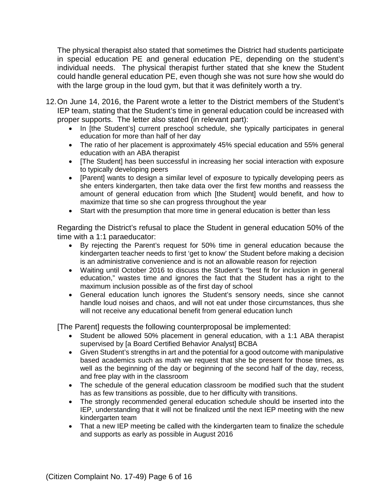The physical therapist also stated that sometimes the District had students participate in special education PE and general education PE, depending on the student's individual needs. The physical therapist further stated that she knew the Student could handle general education PE, even though she was not sure how she would do with the large group in the loud gym, but that it was definitely worth a try.

- 12.On June 14, 2016, the Parent wrote a letter to the District members of the Student's IEP team, stating that the Student's time in general education could be increased with proper supports. The letter also stated (in relevant part):
	- In [the Student's] current preschool schedule, she typically participates in general education for more than half of her day
	- The ratio of her placement is approximately 45% special education and 55% general education with an ABA therapist
	- [The Student] has been successful in increasing her social interaction with exposure to typically developing peers
	- [Parent] wants to design a similar level of exposure to typically developing peers as she enters kindergarten, then take data over the first few months and reassess the amount of general education from which [the Student] would benefit, and how to maximize that time so she can progress throughout the year
	- Start with the presumption that more time in general education is better than less

Regarding the District's refusal to place the Student in general education 50% of the time with a 1:1 paraeducator:

- By rejecting the Parent's request for 50% time in general education because the kindergarten teacher needs to first 'get to know' the Student before making a decision is an administrative convenience and is not an allowable reason for rejection
- Waiting until October 2016 to discuss the Student's "best fit for inclusion in general education," wastes time and ignores the fact that the Student has a right to the maximum inclusion possible as of the first day of school
- General education lunch ignores the Student's sensory needs, since she cannot handle loud noises and chaos, and will not eat under those circumstances, thus she will not receive any educational benefit from general education lunch

[The Parent] requests the following counterproposal be implemented:

- Student be allowed 50% placement in general education, with a 1:1 ABA therapist supervised by [a Board Certified Behavior Analyst] BCBA
- Given Student's strengths in art and the potential for a good outcome with manipulative based academics such as math we request that she be present for those times, as well as the beginning of the day or beginning of the second half of the day, recess, and free play with in the classroom
- The schedule of the general education classroom be modified such that the student has as few transitions as possible, due to her difficulty with transitions.
- The strongly recommended general education schedule should be inserted into the IEP, understanding that it will not be finalized until the next IEP meeting with the new kindergarten team
- That a new IEP meeting be called with the kindergarten team to finalize the schedule and supports as early as possible in August 2016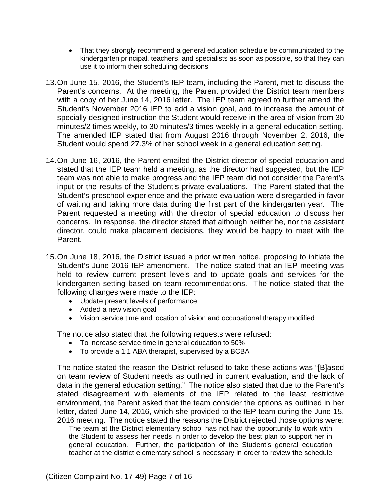- That they strongly recommend a general education schedule be communicated to the kindergarten principal, teachers, and specialists as soon as possible, so that they can use it to inform their scheduling decisions
- 13.On June 15, 2016, the Student's IEP team, including the Parent, met to discuss the Parent's concerns. At the meeting, the Parent provided the District team members with a copy of her June 14, 2016 letter. The IEP team agreed to further amend the Student's November 2016 IEP to add a vision goal, and to increase the amount of specially designed instruction the Student would receive in the area of vision from 30 minutes/2 times weekly, to 30 minutes/3 times weekly in a general education setting. The amended IEP stated that from August 2016 through November 2, 2016, the Student would spend 27.3% of her school week in a general education setting.
- 14.On June 16, 2016, the Parent emailed the District director of special education and stated that the IEP team held a meeting, as the director had suggested, but the IEP team was not able to make progress and the IEP team did not consider the Parent's input or the results of the Student's private evaluations. The Parent stated that the Student's preschool experience and the private evaluation were disregarded in favor of waiting and taking more data during the first part of the kindergarten year. The Parent requested a meeting with the director of special education to discuss her concerns. In response, the director stated that although neither he, nor the assistant director, could make placement decisions, they would be happy to meet with the Parent.
- 15.On June 18, 2016, the District issued a prior written notice, proposing to initiate the Student's June 2016 IEP amendment. The notice stated that an IEP meeting was held to review current present levels and to update goals and services for the kindergarten setting based on team recommendations. The notice stated that the following changes were made to the IEP:
	- Update present levels of performance
	- Added a new vision goal
	- Vision service time and location of vision and occupational therapy modified

The notice also stated that the following requests were refused:

- To increase service time in general education to 50%
- To provide a 1:1 ABA therapist, supervised by a BCBA

The notice stated the reason the District refused to take these actions was "[B]ased on team review of Student needs as outlined in current evaluation, and the lack of data in the general education setting." The notice also stated that due to the Parent's stated disagreement with elements of the IEP related to the least restrictive environment, the Parent asked that the team consider the options as outlined in her letter, dated June 14, 2016, which she provided to the IEP team during the June 15, 2016 meeting. The notice stated the reasons the District rejected those options were:

The team at the District elementary school has not had the opportunity to work with the Student to assess her needs in order to develop the best plan to support her in general education. Further, the participation of the Student's general education teacher at the district elementary school is necessary in order to review the schedule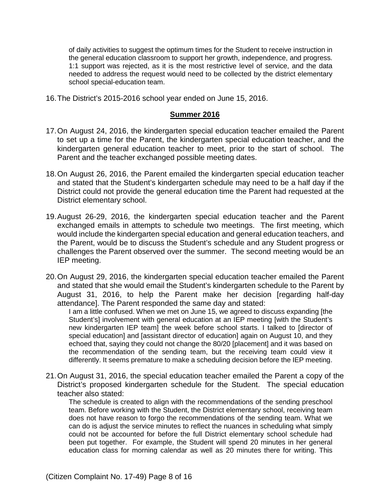of daily activities to suggest the optimum times for the Student to receive instruction in the general education classroom to support her growth, independence, and progress. 1:1 support was rejected, as it is the most restrictive level of service, and the data needed to address the request would need to be collected by the district elementary school special-education team.

16.The District's 2015-2016 school year ended on June 15, 2016.

#### **Summer 2016**

- 17.On August 24, 2016, the kindergarten special education teacher emailed the Parent to set up a time for the Parent, the kindergarten special education teacher, and the kindergarten general education teacher to meet, prior to the start of school. The Parent and the teacher exchanged possible meeting dates.
- 18.On August 26, 2016, the Parent emailed the kindergarten special education teacher and stated that the Student's kindergarten schedule may need to be a half day if the District could not provide the general education time the Parent had requested at the District elementary school.
- 19.August 26-29, 2016, the kindergarten special education teacher and the Parent exchanged emails in attempts to schedule two meetings. The first meeting, which would include the kindergarten special education and general education teachers, and the Parent, would be to discuss the Student's schedule and any Student progress or challenges the Parent observed over the summer. The second meeting would be an IEP meeting.
- 20.On August 29, 2016, the kindergarten special education teacher emailed the Parent and stated that she would email the Student's kindergarten schedule to the Parent by August 31, 2016, to help the Parent make her decision [regarding half-day attendance]. The Parent responded the same day and stated:

I am a little confused. When we met on June 15, we agreed to discuss expanding [the Student's] involvement with general education at an IEP meeting [with the Student's new kindergarten IEP team] the week before school starts. I talked to [director of special education] and [assistant director of education] again on August 10, and they echoed that, saying they could not change the 80/20 [placement] and it was based on the recommendation of the sending team, but the receiving team could view it differently. It seems premature to make a scheduling decision before the IEP meeting.

21.On August 31, 2016, the special education teacher emailed the Parent a copy of the District's proposed kindergarten schedule for the Student. The special education teacher also stated:

The schedule is created to align with the recommendations of the sending preschool team. Before working with the Student, the District elementary school, receiving team does not have reason to forgo the recommendations of the sending team. What we can do is adjust the service minutes to reflect the nuances in scheduling what simply could not be accounted for before the full District elementary school schedule had been put together. For example, the Student will spend 20 minutes in her general education class for morning calendar as well as 20 minutes there for writing. This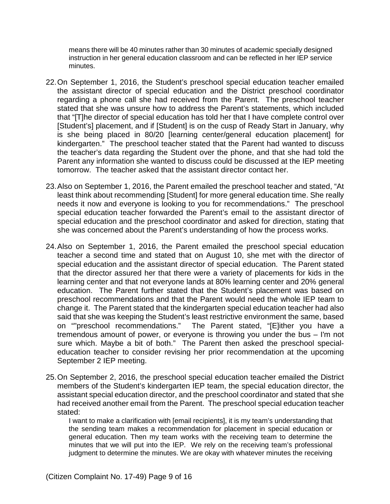means there will be 40 minutes rather than 30 minutes of academic specially designed instruction in her general education classroom and can be reflected in her IEP service minutes.

- 22.On September 1, 2016, the Student's preschool special education teacher emailed the assistant director of special education and the District preschool coordinator regarding a phone call she had received from the Parent. The preschool teacher stated that she was unsure how to address the Parent's statements, which included that "[T]he director of special education has told her that I have complete control over [Student's] placement, and if [Student] is on the cusp of Ready Start in January, why is she being placed in 80/20 [learning center/general education placement] for kindergarten." The preschool teacher stated that the Parent had wanted to discuss the teacher's data regarding the Student over the phone, and that she had told the Parent any information she wanted to discuss could be discussed at the IEP meeting tomorrow. The teacher asked that the assistant director contact her.
- 23.Also on September 1, 2016, the Parent emailed the preschool teacher and stated, "At least think about recommending [Student] for more general education time. She really needs it now and everyone is looking to you for recommendations." The preschool special education teacher forwarded the Parent's email to the assistant director of special education and the preschool coordinator and asked for direction, stating that she was concerned about the Parent's understanding of how the process works.
- 24.Also on September 1, 2016, the Parent emailed the preschool special education teacher a second time and stated that on August 10, she met with the director of special education and the assistant director of special education. The Parent stated that the director assured her that there were a variety of placements for kids in the learning center and that not everyone lands at 80% learning center and 20% general education. The Parent further stated that the Student's placement was based on preschool recommendations and that the Parent would need the whole IEP team to change it. The Parent stated that the kindergarten special education teacher had also said that she was keeping the Student's least restrictive environment the same, based on ""preschool recommendations." The Parent stated, "[E]ither you have a tremendous amount of power, or everyone is throwing you under the bus – I'm not sure which. Maybe a bit of both." The Parent then asked the preschool specialeducation teacher to consider revising her prior recommendation at the upcoming September 2 IEP meeting.
- 25.On September 2, 2016, the preschool special education teacher emailed the District members of the Student's kindergarten IEP team, the special education director, the assistant special education director, and the preschool coordinator and stated that she had received another email from the Parent. The preschool special education teacher stated:

I want to make a clarification with [email recipients], it is my team's understanding that the sending team makes a recommendation for placement in special education or general education. Then my team works with the receiving team to determine the minutes that we will put into the IEP. We rely on the receiving team's professional judgment to determine the minutes. We are okay with whatever minutes the receiving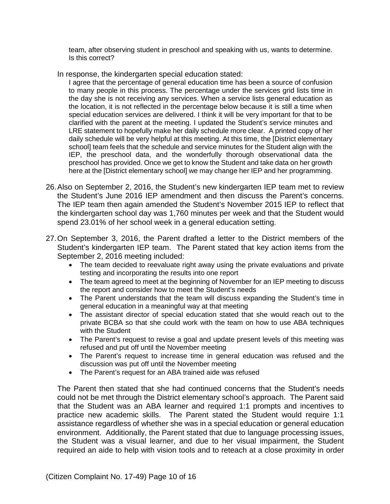team, after observing student in preschool and speaking with us, wants to determine. Is this correct?

In response, the kindergarten special education stated:

I agree that the percentage of general education time has been a source of confusion to many people in this process. The percentage under the services grid lists time in the day she is not receiving any services. When a service lists general education as the location, it is not reflected in the percentage below because it is still a time when special education services are delivered. I think it will be very important for that to be clarified with the parent at the meeting. I updated the Student's service minutes and LRE statement to hopefully make her daily schedule more clear. A printed copy of her daily schedule will be very helpful at this meeting. At this time, the [District elementary school] team feels that the schedule and service minutes for the Student align with the IEP, the preschool data, and the wonderfully thorough observational data the preschool has provided. Once we get to know the Student and take data on her growth here at the [District elementary school] we may change her IEP and her programming.

- 26.Also on September 2, 2016, the Student's new kindergarten IEP team met to review the Student's June 2016 IEP amendment and then discuss the Parent's concerns. The IEP team then again amended the Student's November 2015 IEP to reflect that the kindergarten school day was 1,760 minutes per week and that the Student would spend 23.01% of her school week in a general education setting.
- 27.On September 3, 2016, the Parent drafted a letter to the District members of the Student's kindergarten IEP team. The Parent stated that key action items from the September 2, 2016 meeting included:
	- The team decided to reevaluate right away using the private evaluations and private testing and incorporating the results into one report
	- The team agreed to meet at the beginning of November for an IEP meeting to discuss the report and consider how to meet the Student's needs
	- The Parent understands that the team will discuss expanding the Student's time in general education in a meaningful way at that meeting
	- The assistant director of special education stated that she would reach out to the private BCBA so that she could work with the team on how to use ABA techniques with the Student
	- The Parent's request to revise a goal and update present levels of this meeting was refused and put off until the November meeting
	- The Parent's request to increase time in general education was refused and the discussion was put off until the November meeting
	- The Parent's request for an ABA trained aide was refused

The Parent then stated that she had continued concerns that the Student's needs could not be met through the District elementary school's approach. The Parent said that the Student was an ABA learner and required 1:1 prompts and incentives to practice new academic skills. The Parent stated the Student would require 1:1 assistance regardless of whether she was in a special education or general education environment. Additionally, the Parent stated that due to language processing issues, the Student was a visual learner, and due to her visual impairment, the Student required an aide to help with vision tools and to reteach at a close proximity in order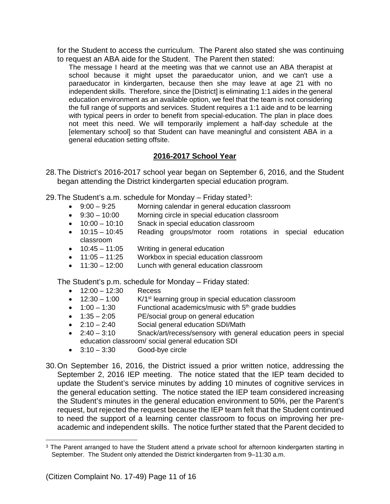for the Student to access the curriculum. The Parent also stated she was continuing to request an ABA aide for the Student. The Parent then stated:

The message I heard at the meeting was that we cannot use an ABA therapist at school because it might upset the paraeducator union, and we can't use a paraeducator in kindergarten, because then she may leave at age 21 with no independent skills. Therefore, since the [District] is eliminating 1:1 aides in the general education environment as an available option, we feel that the team is not considering the full range of supports and services. Student requires a 1:1 aide and to be learning with typical peers in order to benefit from special-education. The plan in place does not meet this need. We will temporarily implement a half-day schedule at the [elementary school] so that Student can have meaningful and consistent ABA in a general education setting offsite.

# **2016-2017 School Year**

- 28.The District's 2016-2017 school year began on September 6, 2016, and the Student began attending the District kindergarten special education program.
- 29. The Student's a.m. schedule for Monday  $-$  Friday stated<sup>3</sup>:
	- 9:00 9:25 Morning calendar in general education classroom
	- 9:30 10:00 Morning circle in special education classroom
	- 10:00 10:10 Snack in special education classroom
	- 10:15 10:45 Reading groups/motor room rotations in special education classroom
	- 10:45 11:05 Writing in general education
	- 11:05 11:25 Workbox in special education classroom
	- 11:30 12:00 Lunch with general education classroom

The Student's p.m. schedule for Monday – Friday stated:

- 12:00 12:30 Recess
- 12:30 1:00  $K/1^{st}$  learning group in special education classroom
- $1:00 1:30$  Functional academics/music with  $5<sup>th</sup>$  grade buddies
- 1:35 2:05 PE/social group on general education
- 2:10 2:40 Social general education SDI/Math
- 2:40 3:10 Snack/art/recess/sensory with general education peers in special education classroom/ social general education SDI
- $\bullet$  3:10 3:30 Good-bye circle
- 30.On September 16, 2016, the District issued a prior written notice, addressing the September 2, 2016 IEP meeting. The notice stated that the IEP team decided to update the Student's service minutes by adding 10 minutes of cognitive services in the general education setting. The notice stated the IEP team considered increasing the Student's minutes in the general education environment to 50%, per the Parent's request, but rejected the request because the IEP team felt that the Student continued to need the support of a learning center classroom to focus on improving her preacademic and independent skills. The notice further stated that the Parent decided to

l

<sup>&</sup>lt;sup>3</sup> The Parent arranged to have the Student attend a private school for afternoon kindergarten starting in September. The Student only attended the District kindergarten from 9–11:30 a.m.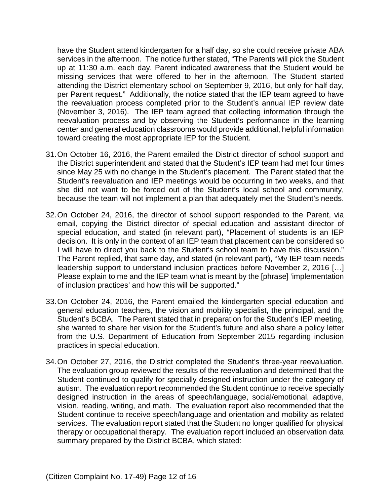have the Student attend kindergarten for a half day, so she could receive private ABA services in the afternoon. The notice further stated, "The Parents will pick the Student up at 11:30 a.m. each day. Parent indicated awareness that the Student would be missing services that were offered to her in the afternoon. The Student started attending the District elementary school on September 9, 2016, but only for half day, per Parent request." Additionally, the notice stated that the IEP team agreed to have the reevaluation process completed prior to the Student's annual IEP review date (November 3, 2016). The IEP team agreed that collecting information through the reevaluation process and by observing the Student's performance in the learning center and general education classrooms would provide additional, helpful information toward creating the most appropriate IEP for the Student.

- 31.On October 16, 2016, the Parent emailed the District director of school support and the District superintendent and stated that the Student's IEP team had met four times since May 25 with no change in the Student's placement. The Parent stated that the Student's reevaluation and IEP meetings would be occurring in two weeks, and that she did not want to be forced out of the Student's local school and community, because the team will not implement a plan that adequately met the Student's needs.
- 32.On October 24, 2016, the director of school support responded to the Parent, via email, copying the District director of special education and assistant director of special education, and stated (in relevant part), "Placement of students is an IEP decision. It is only in the context of an IEP team that placement can be considered so I will have to direct you back to the Student's school team to have this discussion." The Parent replied, that same day, and stated (in relevant part), "My IEP team needs leadership support to understand inclusion practices before November 2, 2016 […] Please explain to me and the IEP team what is meant by the [phrase] 'implementation of inclusion practices' and how this will be supported."
- 33.On October 24, 2016, the Parent emailed the kindergarten special education and general education teachers, the vision and mobility specialist, the principal, and the Student's BCBA. The Parent stated that in preparation for the Student's IEP meeting, she wanted to share her vision for the Student's future and also share a policy letter from the U.S. Department of Education from September 2015 regarding inclusion practices in special education.
- 34.On October 27, 2016, the District completed the Student's three-year reevaluation. The evaluation group reviewed the results of the reevaluation and determined that the Student continued to qualify for specially designed instruction under the category of autism. The evaluation report recommended the Student continue to receive specially designed instruction in the areas of speech/language, social/emotional, adaptive, vision, reading, writing, and math. The evaluation report also recommended that the Student continue to receive speech/language and orientation and mobility as related services. The evaluation report stated that the Student no longer qualified for physical therapy or occupational therapy. The evaluation report included an observation data summary prepared by the District BCBA, which stated: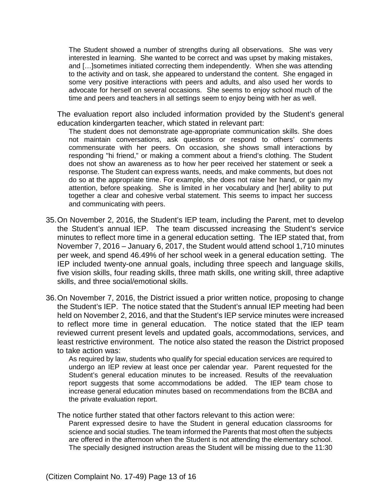The Student showed a number of strengths during all observations. She was very interested in learning. She wanted to be correct and was upset by making mistakes, and […]sometimes initiated correcting them independently. When she was attending to the activity and on task, she appeared to understand the content. She engaged in some very positive interactions with peers and adults, and also used her words to advocate for herself on several occasions. She seems to enjoy school much of the time and peers and teachers in all settings seem to enjoy being with her as well.

The evaluation report also included information provided by the Student's general education kindergarten teacher, which stated in relevant part:

The student does not demonstrate age-appropriate communication skills. She does not maintain conversations, ask questions or respond to others' comments commensurate with her peers. On occasion, she shows small interactions by responding "hi friend," or making a comment about a friend's clothing. The Student does not show an awareness as to how her peer received her statement or seek a response. The Student can express wants, needs, and make comments, but does not do so at the appropriate time. For example, she does not raise her hand, or gain my attention, before speaking. She is limited in her vocabulary and [her] ability to put together a clear and cohesive verbal statement. This seems to impact her success and communicating with peers.

- 35.On November 2, 2016, the Student's IEP team, including the Parent, met to develop the Student's annual IEP. The team discussed increasing the Student's service minutes to reflect more time in a general education setting. The IEP stated that, from November 7, 2016 – January 6, 2017, the Student would attend school 1,710 minutes per week, and spend 46.49% of her school week in a general education setting. The IEP included twenty-one annual goals, including three speech and language skills, five vision skills, four reading skills, three math skills, one writing skill, three adaptive skills, and three social/emotional skills.
- 36.On November 7, 2016, the District issued a prior written notice, proposing to change the Student's IEP. The notice stated that the Student's annual IEP meeting had been held on November 2, 2016, and that the Student's IEP service minutes were increased to reflect more time in general education. The notice stated that the IEP team reviewed current present levels and updated goals, accommodations, services, and least restrictive environment. The notice also stated the reason the District proposed to take action was:

As required by law, students who qualify for special education services are required to undergo an IEP review at least once per calendar year. Parent requested for the Student's general education minutes to be increased. Results of the reevaluation report suggests that some accommodations be added. The IEP team chose to increase general education minutes based on recommendations from the BCBA and the private evaluation report.

The notice further stated that other factors relevant to this action were:

Parent expressed desire to have the Student in general education classrooms for science and social studies. The team informed the Parents that most often the subjects are offered in the afternoon when the Student is not attending the elementary school. The specially designed instruction areas the Student will be missing due to the 11:30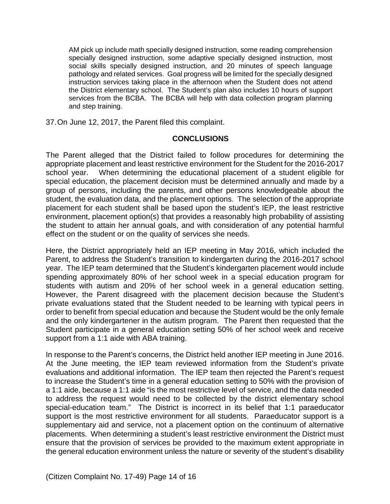AM pick up include math specially designed instruction, some reading comprehension specially designed instruction, some adaptive specially designed instruction, most social skills specially designed instruction, and 20 minutes of speech language pathology and related services. Goal progress will be limited for the specially designed instruction services taking place in the afternoon when the Student does not attend the District elementary school. The Student's plan also includes 10 hours of support services from the BCBA. The BCBA will help with data collection program planning and step training.

37.On June 12, 2017, the Parent filed this complaint.

# **CONCLUSIONS**

The Parent alleged that the District failed to follow procedures for determining the appropriate placement and least restrictive environment for the Student for the 2016-2017 school year. When determining the educational placement of a student eligible for special education, the placement decision must be determined annually and made by a group of persons, including the parents, and other persons knowledgeable about the student, the evaluation data, and the placement options. The selection of the appropriate placement for each student shall be based upon the student's IEP, the least restrictive environment, placement option(s) that provides a reasonably high probability of assisting the student to attain her annual goals, and with consideration of any potential harmful effect on the student or on the quality of services she needs.

Here, the District appropriately held an IEP meeting in May 2016, which included the Parent, to address the Student's transition to kindergarten during the 2016-2017 school year. The IEP team determined that the Student's kindergarten placement would include spending approximately 80% of her school week in a special education program for students with autism and 20% of her school week in a general education setting. However, the Parent disagreed with the placement decision because the Student's private evaluations stated that the Student needed to be learning with typical peers in order to benefit from special education and because the Student would be the only female and the only kindergartener in the autism program. The Parent then requested that the Student participate in a general education setting 50% of her school week and receive support from a 1:1 aide with ABA training.

In response to the Parent's concerns, the District held another IEP meeting in June 2016. At the June meeting, the IEP team reviewed information from the Student's private evaluations and additional information. The IEP team then rejected the Parent's request to increase the Student's time in a general education setting to 50% with the provision of a 1:1 aide, because a 1:1 aide "is the most restrictive level of service, and the data needed to address the request would need to be collected by the district elementary school special-education team." The District is incorrect in its belief that 1:1 paraeducator support is the most restrictive environment for all students. Paraeducator support is a supplementary aid and service, not a placement option on the continuum of alternative placements. When determining a student's least restrictive environment the District must ensure that the provision of services be provided to the maximum extent appropriate in the general education environment unless the nature or severity of the student's disability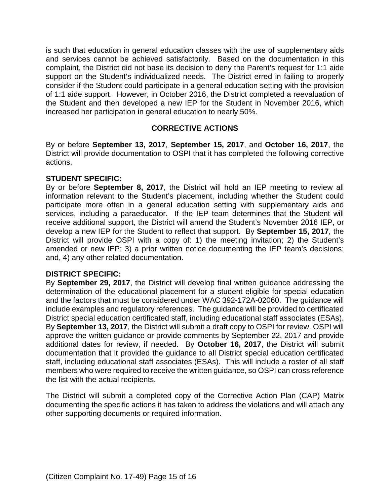is such that education in general education classes with the use of supplementary aids and services cannot be achieved satisfactorily. Based on the documentation in this complaint, the District did not base its decision to deny the Parent's request for 1:1 aide support on the Student's individualized needs. The District erred in failing to properly consider if the Student could participate in a general education setting with the provision of 1:1 aide support. However, in October 2016, the District completed a reevaluation of the Student and then developed a new IEP for the Student in November 2016, which increased her participation in general education to nearly 50%.

# **CORRECTIVE ACTIONS**

By or before **September 13, 2017**, **September 15, 2017**, and **October 16, 2017**, the District will provide documentation to OSPI that it has completed the following corrective actions.

#### **STUDENT SPECIFIC:**

By or before **September 8, 2017**, the District will hold an IEP meeting to review all information relevant to the Student's placement, including whether the Student could participate more often in a general education setting with supplementary aids and services, including a paraeducator. If the IEP team determines that the Student will receive additional support, the District will amend the Student's November 2016 IEP, or develop a new IEP for the Student to reflect that support. By **September 15, 2017**, the District will provide OSPI with a copy of: 1) the meeting invitation; 2) the Student's amended or new IEP; 3) a prior written notice documenting the IEP team's decisions; and, 4) any other related documentation.

# **DISTRICT SPECIFIC:**

By **September 29, 2017**, the District will develop final written guidance addressing the determination of the educational placement for a student eligible for special education and the factors that must be considered under WAC 392-172A-02060. The guidance will include examples and regulatory references. The guidance will be provided to certificated District special education certificated staff, including educational staff associates (ESAs). By **September 13, 2017**, the District will submit a draft copy to OSPI for review. OSPI will approve the written guidance or provide comments by September 22, 2017 and provide additional dates for review, if needed. By **October 16, 2017**, the District will submit documentation that it provided the guidance to all District special education certificated staff, including educational staff associates (ESAs). This will include a roster of all staff members who were required to receive the written guidance, so OSPI can cross reference the list with the actual recipients.

The District will submit a completed copy of the Corrective Action Plan (CAP) Matrix documenting the specific actions it has taken to address the violations and will attach any other supporting documents or required information.